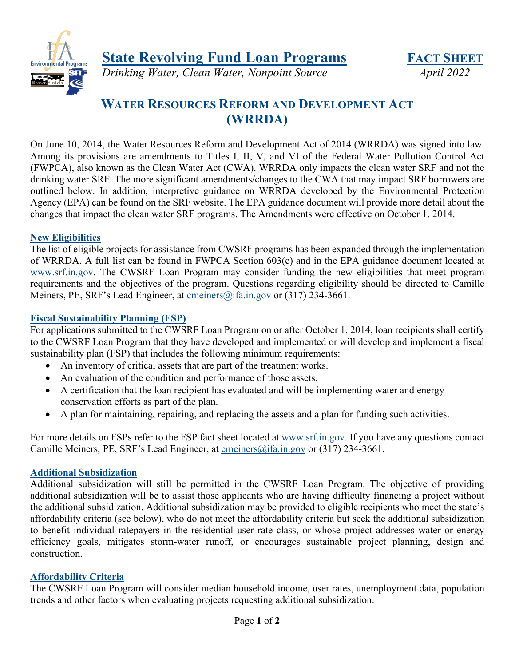**State Revolving Fund Loan Programs FACT SHEET** 



*Drinking Water, Clean Water, Nonpoint Source April 2022* 

# **WATER RESOURCES REFORM AND DEVELOPMENT ACT (WRRDA)**

On June 10, 2014, the Water Resources Reform and Development Act of 2014 (WRRDA) was signed into law. Among its provisions are amendments to Titles I, II, V, and VI of the Federal Water Pollution Control Act (FWPCA), also known as the Clean Water Act (CWA). WRRDA only impacts the clean water SRF and not the drinking water SRF. The more significant amendments/changes to the CWA that may impact SRF borrowers are outlined below. In addition, interpretive guidance on WRRDA developed by the Environmental Protection Agency (EPA) can be found on the SRF website. The EPA guidance document will provide more detail about the changes that impact the clean water SRF programs. The Amendments were effective on October 1, 2014.

## **New Eligibilities**

The list of eligible projects for assistance from CWSRF programs has been expanded through the implementation of WRRDA. A full list can be found in FWPCA Section 603(c) and in the EPA guidance document located at [www.srf.in.gov.](http://www.srf.in.gov/) The CWSRF Loan Program may consider funding the new eligibilities that meet program requirements and the objectives of the program. Questions regarding eligibility should be directed to Camille Meiners, PE, SRF's Lead Engineer, at [cmeiners@ifa.in.gov](mailto:cmeiners@ifa.in.gov) or (317) 234-3661.

# **Fiscal Sustainability Planning (FSP)**

For applications submitted to the CWSRF Loan Program on or after October 1, 2014, loan recipients shall certify to the CWSRF Loan Program that they have developed and implemented or will develop and implement a fiscal sustainability plan (FSP) that includes the following minimum requirements:

- An inventory of critical assets that are part of the treatment works.
- An evaluation of the condition and performance of those assets.
- A certification that the loan recipient has evaluated and will be implementing water and energy conservation efforts as part of the plan.
- A plan for maintaining, repairing, and replacing the assets and a plan for funding such activities.

For more details on FSPs refer to the FSP fact sheet located at [www.srf.in.gov.](http://www.srf.in.gov/) If you have any questions contact Camille Meiners, PE, SRF's Lead Engineer, at [cmeiners@ifa.in.gov](mailto:cmeiners@ifa.in.gov) or (317) 234-3661.

## **Additional Subsidization**

Additional subsidization will still be permitted in the CWSRF Loan Program. The objective of providing additional subsidization will be to assist those applicants who are having difficulty financing a project without the additional subsidization. Additional subsidization may be provided to eligible recipients who meet the state's affordability criteria (see below), who do not meet the affordability criteria but seek the additional subsidization to benefit individual ratepayers in the residential user rate class, or whose project addresses water or energy efficiency goals, mitigates storm-water runoff, or encourages sustainable project planning, design and construction.

## **Affordability Criteria**

The CWSRF Loan Program will consider median household income, user rates, unemployment data, population trends and other factors when evaluating projects requesting additional subsidization.